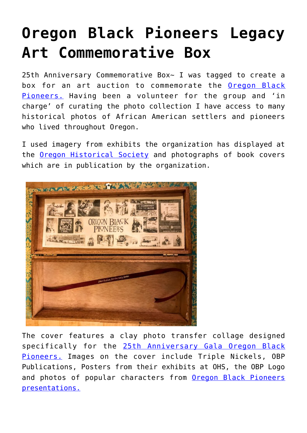## **[Oregon Black Pioneers Legacy](https://mybeautifullifestory.com/oregon-black-pioneers-legacy-art-commemorative-box/) [Art Commemorative Box](https://mybeautifullifestory.com/oregon-black-pioneers-legacy-art-commemorative-box/)**

25th Anniversary Commemorative Box~ I was tagged to create a box for an art auction to commemorate the [Oregon Black](https://oregonblackpioneers.org/) [Pioneers.](https://oregonblackpioneers.org/) Having been a volunteer for the group and 'in charge' of curating the photo collection I have access to many historical photos of African American settlers and pioneers who lived throughout Oregon.

I used imagery from exhibits the organization has displayed at the [Oregon Historical Society](http://ohs.org) and photographs of book covers which are in publication by the organization.



The cover features a clay photo transfer collage designed specifically for the [25th Anniversary Gala Oregon Black](https://mbabar.org/calendar/2019-03-02/the-oregon-black-pioneers-25th-anniversary.html) [Pioneers.](https://mbabar.org/calendar/2019-03-02/the-oregon-black-pioneers-25th-anniversary.html) Images on the cover include Triple Nickels, OBP Publications, Posters from their exhibits at OHS, the OBP Logo and photos of popular characters from [Oregon Black Pioneers](https://oregonblackpioneers.org/events-and-programs/) [presentations.](https://oregonblackpioneers.org/events-and-programs/)